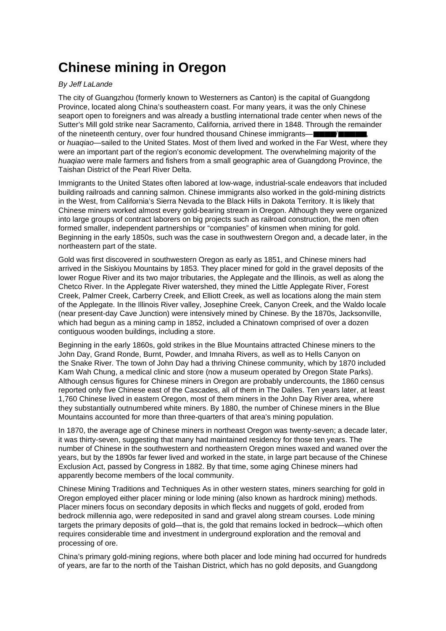## **Chinese mining in Oregon**

## By Jeff LaLande

The city of Guangzhou (formerly known to Westerners as Canton) is the capital of Guangdong Province, located along China's southeastern coast. For many years, it was the only Chinese seaport open to foreigners and was already a bustling international trade center when news of the Sutter's Mill gold strike near Sacramento, California, arrived there in 1848. Through the remainder of the nineteenth century, over four hundred thousand Chinese immigrants—■■■■/■■■■■, or huaqiao—sailed to the United States. Most of them lived and worked in the Far West, where they were an important part of the region's economic development. The overwhelming majority of the huaqiao were male farmers and fishers from a small geographic area of Guangdong Province, the Taishan District of the Pearl River Delta.

Immigrants to the United States often labored at low-wage, industrial-scale endeavors that included building railroads and canning salmon. Chinese immigrants also worked in the gold-mining districts in the West, from California's Sierra Nevada to the Black Hills in Dakota Territory. It is likely that Chinese miners worked almost every gold-bearing stream in Oregon. Although they were organized into large groups of contract laborers on big projects such as railroad construction, the men often formed smaller, independent partnerships or "companies" of kinsmen when mining for gold. Beginning in the early 1850s, such was the case in southwestern Oregon and, a decade later, in the northeastern part of the state.

Gold was first discovered in southwestern Oregon as early as 1851, and Chinese miners had arrived in the Siskiyou Mountains by 1853. They placer mined for gold in the gravel deposits of the lower Rogue River and its two major tributaries, the Applegate and the Illinois, as well as along the Chetco River. In the Applegate River watershed, they mined the Little Applegate River, Forest Creek, Palmer Creek, Carberry Creek, and Elliott Creek, as well as locations along the main stem of the Applegate. In the Illinois River valley, Josephine Creek, Canyon Creek, and the Waldo locale (near present-day Cave Junction) were intensively mined by Chinese. By the 1870s, Jacksonville, which had begun as a mining camp in 1852, included a Chinatown comprised of over a dozen contiguous wooden buildings, including a store.

Beginning in the early 1860s, gold strikes in the Blue Mountains attracted Chinese miners to the John Day, Grand Ronde, Burnt, Powder, and Imnaha Rivers, as well as to Hells Canyon on the Snake River. The town of John Day had a thriving Chinese community, which by 1870 included Kam Wah Chung, a medical clinic and store (now a museum operated by Oregon State Parks). Although census figures for Chinese miners in Oregon are probably undercounts, the 1860 census reported only five Chinese east of the Cascades, all of them in The Dalles. Ten years later, at least 1,760 Chinese lived in eastern Oregon, most of them miners in the John Day River area, where they substantially outnumbered white miners. By 1880, the number of Chinese miners in the Blue Mountains accounted for more than three-quarters of that area's mining population.

In 1870, the average age of Chinese miners in northeast Oregon was twenty-seven; a decade later, it was thirty-seven, suggesting that many had maintained residency for those ten years. The number of Chinese in the southwestern and northeastern Oregon mines waxed and waned over the years, but by the 1890s far fewer lived and worked in the state, in large part because of the Chinese Exclusion Act, passed by Congress in 1882. By that time, some aging Chinese miners had apparently become members of the local community.

Chinese Mining Traditions and Techniques As in other western states, miners searching for gold in Oregon employed either placer mining or lode mining (also known as hardrock mining) methods. Placer miners focus on secondary deposits in which flecks and nuggets of gold, eroded from bedrock millennia ago, were redeposited in sand and gravel along stream courses. Lode mining targets the primary deposits of gold—that is, the gold that remains locked in bedrock—which often requires considerable time and investment in underground exploration and the removal and processing of ore.

China's primary gold-mining regions, where both placer and lode mining had occurred for hundreds of years, are far to the north of the Taishan District, which has no gold deposits, and Guangdong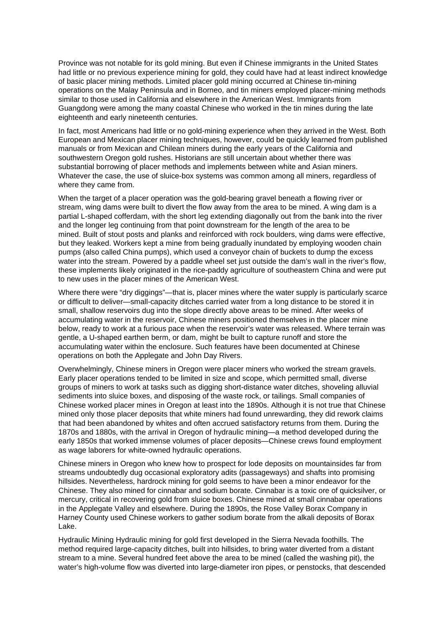Province was not notable for its gold mining. But even if Chinese immigrants in the United States had little or no previous experience mining for gold, they could have had at least indirect knowledge of basic placer mining methods. Limited placer gold mining occurred at Chinese tin-mining operations on the Malay Peninsula and in Borneo, and tin miners employed placer-mining methods similar to those used in California and elsewhere in the American West. Immigrants from Guangdong were among the many coastal Chinese who worked in the tin mines during the late eighteenth and early nineteenth centuries.

In fact, most Americans had little or no gold-mining experience when they arrived in the West. Both European and Mexican placer mining techniques, however, could be quickly learned from published manuals or from Mexican and Chilean miners during the early years of the California and southwestern Oregon gold rushes. Historians are still uncertain about whether there was substantial borrowing of placer methods and implements between white and Asian miners. Whatever the case, the use of sluice-box systems was common among all miners, regardless of where they came from.

When the target of a placer operation was the gold-bearing gravel beneath a flowing river or stream, wing dams were built to divert the flow away from the area to be mined. A wing dam is a partial L-shaped cofferdam, with the short leg extending diagonally out from the bank into the river and the longer leg continuing from that point downstream for the length of the area to be mined. Built of stout posts and planks and reinforced with rock boulders, wing dams were effective, but they leaked. Workers kept a mine from being gradually inundated by employing wooden chain pumps (also called China pumps), which used a conveyor chain of buckets to dump the excess water into the stream. Powered by a paddle wheel set just outside the dam's wall in the river's flow, these implements likely originated in the rice-paddy agriculture of southeastern China and were put to new uses in the placer mines of the American West.

Where there were "dry diggings"—that is, placer mines where the water supply is particularly scarce or difficult to deliver—small-capacity ditches carried water from a long distance to be stored it in small, shallow reservoirs dug into the slope directly above areas to be mined. After weeks of accumulating water in the reservoir, Chinese miners positioned themselves in the placer mine below, ready to work at a furious pace when the reservoir's water was released. Where terrain was gentle, a U-shaped earthen berm, or dam, might be built to capture runoff and store the accumulating water within the enclosure. Such features have been documented at Chinese operations on both the Applegate and John Day Rivers.

Overwhelmingly, Chinese miners in Oregon were placer miners who worked the stream gravels. Early placer operations tended to be limited in size and scope, which permitted small, diverse groups of miners to work at tasks such as digging short-distance water ditches, shoveling alluvial sediments into sluice boxes, and disposing of the waste rock, or tailings. Small companies of Chinese worked placer mines in Oregon at least into the 1890s. Although it is not true that Chinese mined only those placer deposits that white miners had found unrewarding, they did rework claims that had been abandoned by whites and often accrued satisfactory returns from them. During the 1870s and 1880s, with the arrival in Oregon of hydraulic mining—a method developed during the early 1850s that worked immense volumes of placer deposits—Chinese crews found employment as wage laborers for white-owned hydraulic operations.

Chinese miners in Oregon who knew how to prospect for lode deposits on mountainsides far from streams undoubtedly dug occasional exploratory adits (passageways) and shafts into promising hillsides. Nevertheless, hardrock mining for gold seems to have been a minor endeavor for the Chinese. They also mined for cinnabar and sodium borate. Cinnabar is a toxic ore of quicksilver, or mercury, critical in recovering gold from sluice boxes. Chinese mined at small cinnabar operations in the Applegate Valley and elsewhere. During the 1890s, the Rose Valley Borax Company in Harney County used Chinese workers to gather sodium borate from the alkali deposits of Borax Lake.

Hydraulic Mining Hydraulic mining for gold first developed in the Sierra Nevada foothills. The method required large-capacity ditches, built into hillsides, to bring water diverted from a distant stream to a mine. Several hundred feet above the area to be mined (called the washing pit), the water's high-volume flow was diverted into large-diameter iron pipes, or penstocks, that descended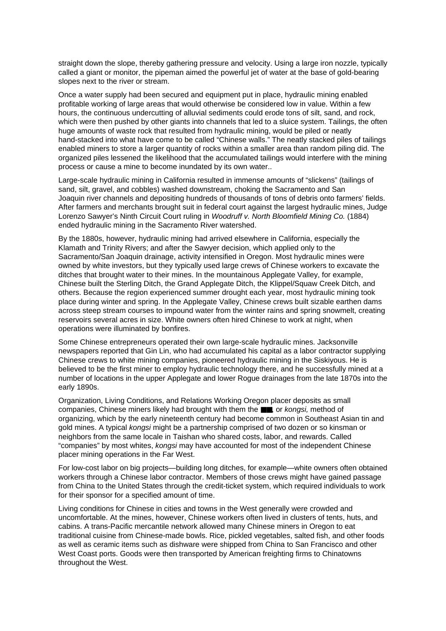straight down the slope, thereby gathering pressure and velocity. Using a large iron nozzle, typically called a giant or monitor, the pipeman aimed the powerful jet of water at the base of gold-bearing slopes next to the river or stream.

Once a water supply had been secured and equipment put in place, hydraulic mining enabled profitable working of large areas that would otherwise be considered low in value. Within a few hours, the continuous undercutting of alluvial sediments could erode tons of silt, sand, and rock, which were then pushed by other giants into channels that led to a sluice system. Tailings, the often huge amounts of waste rock that resulted from hydraulic mining, would be piled or neatly hand-stacked into what have come to be called "Chinese walls." The neatly stacked piles of tailings enabled miners to store a larger quantity of rocks within a smaller area than random piling did. The organized piles lessened the likelihood that the accumulated tailings would interfere with the mining process or cause a mine to become inundated by its own water..

Large-scale hydraulic mining in California resulted in immense amounts of "slickens" (tailings of sand, silt, gravel, and cobbles) washed downstream, choking the Sacramento and San Joaquin river channels and depositing hundreds of thousands of tons of debris onto farmers' fields. After farmers and merchants brought suit in federal court against the largest hydraulic mines, Judge Lorenzo Sawyer's Ninth Circuit Court ruling in Woodruff v. North Bloomfield Mining Co. (1884) ended hydraulic mining in the Sacramento River watershed.

By the 1880s, however, hydraulic mining had arrived elsewhere in California, especially the Klamath and Trinity Rivers; and after the Sawyer decision, which applied only to the Sacramento/San Joaquin drainage, activity intensified in Oregon. Most hydraulic mines were owned by white investors, but they typically used large crews of Chinese workers to excavate the ditches that brought water to their mines. In the mountainous Applegate Valley, for example, Chinese built the Sterling Ditch, the Grand Applegate Ditch, the Klippel/Squaw Creek Ditch, and others. Because the region experienced summer drought each year, most hydraulic mining took place during winter and spring. In the Applegate Valley, Chinese crews built sizable earthen dams across steep stream courses to impound water from the winter rains and spring snowmelt, creating reservoirs several acres in size. White owners often hired Chinese to work at night, when operations were illuminated by bonfires.

Some Chinese entrepreneurs operated their own large-scale hydraulic mines. Jacksonville newspapers reported that Gin Lin, who had accumulated his capital as a labor contractor supplying Chinese crews to white mining companies, pioneered hydraulic mining in the Siskiyous. He is believed to be the first miner to employ hydraulic technology there, and he successfully mined at a number of locations in the upper Applegate and lower Rogue drainages from the late 1870s into the early 1890s.

Organization, Living Conditions, and Relations Working Oregon placer deposits as small companies, Chinese miners likely had brought with them the ■■, or kongsi, method of organizing, which by the early nineteenth century had become common in Southeast Asian tin and gold mines. A typical kongsi might be a partnership comprised of two dozen or so kinsman or neighbors from the same locale in Taishan who shared costs, labor, and rewards. Called "companies" by most whites, kongsi may have accounted for most of the independent Chinese placer mining operations in the Far West.

For low-cost labor on big projects—building long ditches, for example—white owners often obtained workers through a Chinese labor contractor. Members of those crews might have gained passage from China to the United States through the credit-ticket system, which required individuals to work for their sponsor for a specified amount of time.

Living conditions for Chinese in cities and towns in the West generally were crowded and uncomfortable. At the mines, however, Chinese workers often lived in clusters of tents, huts, and cabins. A trans-Pacific mercantile network allowed many Chinese miners in Oregon to eat traditional cuisine from Chinese-made bowls. Rice, pickled vegetables, salted fish, and other foods as well as ceramic items such as dishware were shipped from China to San Francisco and other West Coast ports. Goods were then transported by American freighting firms to Chinatowns throughout the West.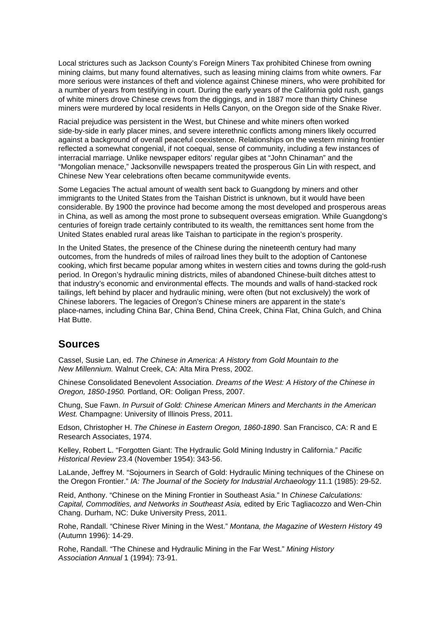Local strictures such as Jackson County's Foreign Miners Tax prohibited Chinese from owning mining claims, but many found alternatives, such as leasing mining claims from white owners. Far more serious were instances of theft and violence against Chinese miners, who were prohibited for a number of years from testifying in court. During the early years of the California gold rush, gangs of white miners drove Chinese crews from the diggings, and in 1887 more than thirty Chinese miners were murdered by local residents in Hells Canyon, on the Oregon side of the Snake River.

Racial prejudice was persistent in the West, but Chinese and white miners often worked side-by-side in early placer mines, and severe interethnic conflicts among miners likely occurred against a background of overall peaceful coexistence. Relationships on the western mining frontier reflected a somewhat congenial, if not coequal, sense of community, including a few instances of interracial marriage. Unlike newspaper editors' regular gibes at "John Chinaman" and the "Mongolian menace," Jacksonville newspapers treated the prosperous Gin Lin with respect, and Chinese New Year celebrations often became communitywide events.

Some Legacies The actual amount of wealth sent back to Guangdong by miners and other immigrants to the United States from the Taishan District is unknown, but it would have been considerable. By 1900 the province had become among the most developed and prosperous areas in China, as well as among the most prone to subsequent overseas emigration. While Guangdong's centuries of foreign trade certainly contributed to its wealth, the remittances sent home from the United States enabled rural areas like Taishan to participate in the region's prosperity.

In the United States, the presence of the Chinese during the nineteenth century had many outcomes, from the hundreds of miles of railroad lines they built to the adoption of Cantonese cooking, which first became popular among whites in western cities and towns during the gold-rush period. In Oregon's hydraulic mining districts, miles of abandoned Chinese-built ditches attest to that industry's economic and environmental effects. The mounds and walls of hand-stacked rock tailings, left behind by placer and hydraulic mining, were often (but not exclusively) the work of Chinese laborers. The legacies of Oregon's Chinese miners are apparent in the state's place-names, including China Bar, China Bend, China Creek, China Flat, China Gulch, and China Hat Butte.

## **Sources**

Cassel, Susie Lan, ed. The Chinese in America: A History from Gold Mountain to the New Millennium. Walnut Creek, CA: Alta Mira Press, 2002.

Chinese Consolidated Benevolent Association. Dreams of the West: A History of the Chinese in Oregon, 1850-1950. Portland, OR: Ooligan Press, 2007.

Chung, Sue Fawn. In Pursuit of Gold: Chinese American Miners and Merchants in the American West. Champagne: University of Illinois Press, 2011.

Edson, Christopher H. The Chinese in Eastern Oregon, 1860-1890. San Francisco, CA: R and E Research Associates, 1974.

Kelley, Robert L. "Forgotten Giant: The Hydraulic Gold Mining Industry in California." Pacific Historical Review 23.4 (November 1954): 343-56.

LaLande, Jeffrey M. "Sojourners in Search of Gold: Hydraulic Mining techniques of the Chinese on the Oregon Frontier." IA: The Journal of the Society for Industrial Archaeology 11.1 (1985): 29-52.

Reid, Anthony. "Chinese on the Mining Frontier in Southeast Asia." In Chinese Calculations: Capital, Commodities, and Networks in Southeast Asia, edited by Eric Tagliacozzo and Wen-Chin Chang. Durham, NC: Duke University Press, 2011.

Rohe, Randall. "Chinese River Mining in the West." Montana, the Magazine of Western History 49 (Autumn 1996): 14-29.

Rohe, Randall. "The Chinese and Hydraulic Mining in the Far West." Mining History Association Annual 1 (1994): 73-91.